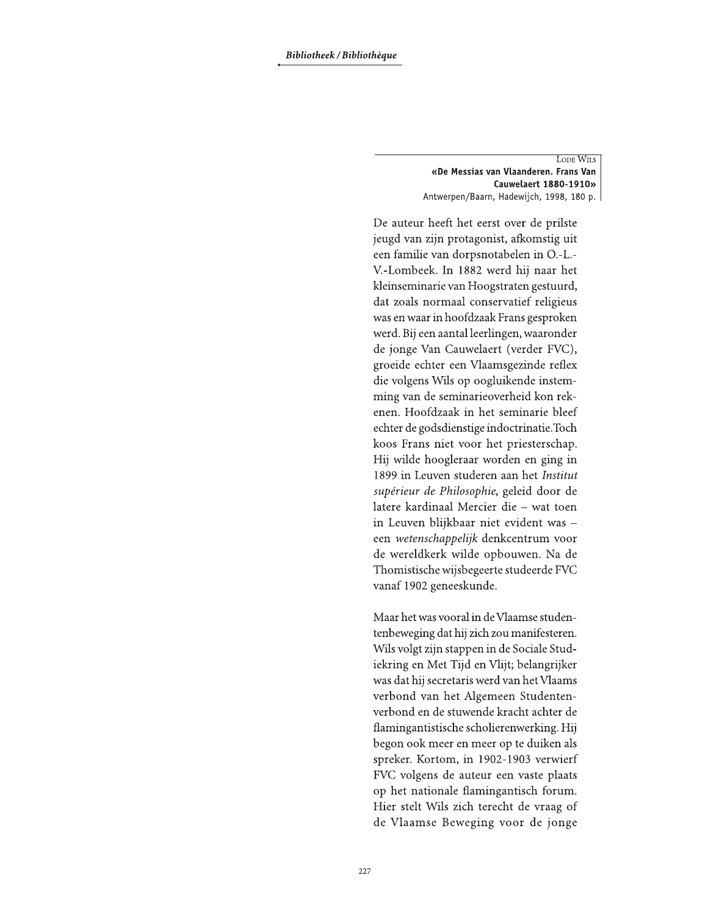LODE WILS «De Messias van Vlaanderen. Frans Van Cauwelaert 1880-1910» Antwerpen/Baarn, Hadewijch, 1998, 180 p.

De auteur heeft het eerst over de prilste jeugd van zijn protagonist, afkomstig uit een familie van dorpsnotabelen in O.-L.-V.-Lombeek. In 1882 werd hij naar het kleinseminarie van Hoogstraten gestuurd, dat zoals normaal conservatief religieus was en waar in hoofdzaak Frans gesproken werd. Bij een aantal leerlingen, waaronder de jonge Van Cauwelaert (verder FVC), groeide echter een Vlaamsgezinde reflex die volgens Wils op oogluikende instemming van de seminarieoverheid kon rekenen. Hoofdzaak in het seminarie bleef echter de godsdienstige indoctrinatie.Toch koos Frans niet voor het priesterschap. Hij wilde hoogleraar worden en ging in 1899 in Leuven studeren aan het Institut supérieur de Philosophie, geleid door de latere kardinaal Mercier die - wat toen in Leuven blijkbaar niet evident was een wetenschappelijk denkcentrum voor de wereldkerk wilde opbouwen. Na de Thomistische wijsbegeerte studeerde FVC vanaf 1902 geneeskunde.

Maar het was vooral in de Vlaamse studentenbeweging dat hij zich zou manifesteren. Wils volgt zijn stappen in de Sociale Studiekring en Met Tijd en Vlijt; belangrijker was dat hij secretaris werd van het Vlaams verbond van het Algemeen Studentenverbond en de stuwende kracht achter de flamingantistische scholierenwerking. Hij begon ook meer en meer op te duiken als spreker. Kortom, in 1902-1903 verwierf FVC volgens de auteur een vaste plaats op het nationale flamingantisch forum. Hier stelt Wils zich terecht de vraag of de Vlaamse Beweging voor de jonge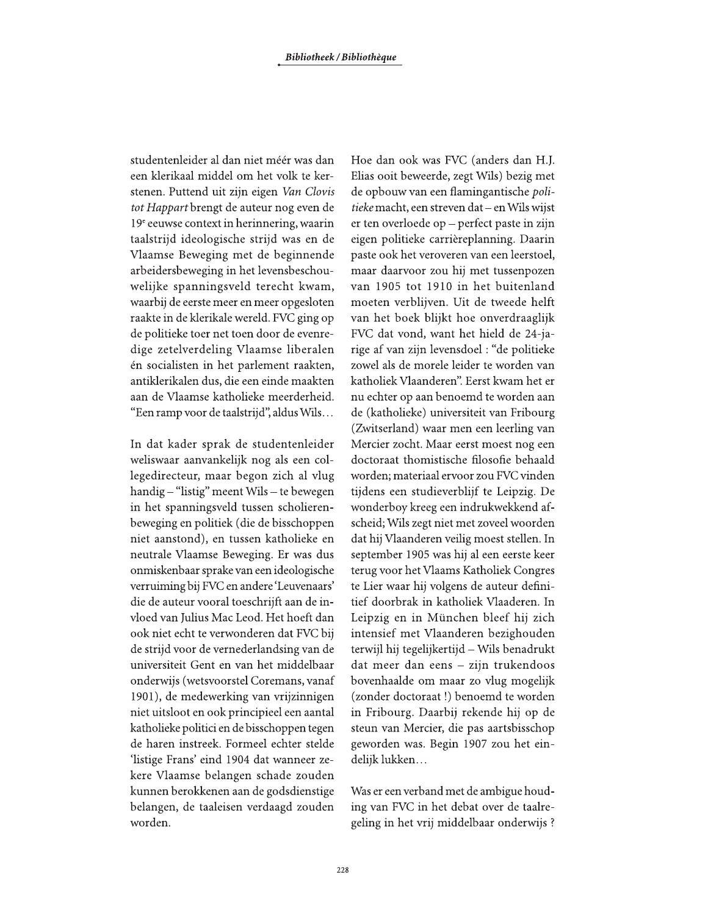studentenleider al dan niet méér was dan een klerikaal middel om het volk te kerstenen. Puttend uit zijn eigen Van Clovis *tot Happart* brengt de auteur nog even de  $19<sup>e</sup>$  eeuwse context in herinnering, waarin taalstrijd ideologische strijd was en de Vlaamse Beweging met de beginnende arbeidersbeweging in het levensbeschouwelijke spanningsveld terecht kwam, waarbij de eerste meer en meer opgesloten raakte in de klerikale wereld. FVC ging op de politieke toer net toen door de evenredige zetelverdeling Vlaamse liberalen én socialisten in het parlement raakten, antiklerikalen dus, die een einde maakten aan de Vlaamse katholieke meerderheid. "Een ramp voor de taalstrijd", aldus Wils...

In dat kader sprak de studentenleider weliswaar aanvankelijk nog als een collegedirecteur, maar begon zich al vlug handig – "listig" meent Wils – te bewegen in het spanningsveld tussen scholierenbeweging en politiek (die de bisschoppen niet aanstond), en tussen katholieke en neutrale Vlaamse Beweging. Er was dus onmiskenbaar sprake van een ideologische verruiming bij FVC en andere 'Leuvenaars' die de auteur vooral toeschrijft aan de invloed van Julius Mac Leod. Het hoeft dan ook niet echt te verwonderen dat FVC bij de strijd voor de vernederlandsing van de universiteit Gent en van het middelbaar onderwijs (wetsvoorstel Coremans, vanaf 1901), de medewerking van vrijzinnigen niet uitsloot en ook principieel een aantal katholieke politici en de bisschoppen tegen de haren instreek. Formeel echter stelde 'listige Frans' eind 1904 dat wanneer zekere Vlaamse belangen schade zouden kunnen berokkenen aan de godsdienstige belangen, de taaleisen verdaagd zouden worden.

Hoe dan ook was FVC (anders dan H.J. Elias ooit beweerde, zegt Wils) bezig met de opbouw van een flamingantische poli*tieke* macht, een streven dat – en Wils wijst er ten overloede op – perfect paste in zijn eigen politieke carrièreplanning. Daarin paste ook het veroveren van een leerstoel, maar daarvoor zou hij met tussenpozen van 1905 tot 1910 in het buitenland moeten verblijven. Uit de tweede helft van het boek blijkt hoe onverdraaglijk FVC dat vond, want het hield de 24-jarige af van zijn levensdoel : "de politieke zowel als de morele leider te worden van katholiek Vlaanderen". Eerst kwam het er nu echter op aan benoemd te worden aan de (katholieke) universiteit van Fribourg (Zwitserland) waar men een leerling van Mercier zocht. Maar eerst moest nog een doctoraat thomistische filosofie behaald worden; materiaal ervoor zou FVC vinden tijdens een studieverblijf te Leipzig. De wonderboy kreeg een indrukwekkend afscheid; Wils zegt niet met zoveel woorden dat hij Vlaanderen veilig moest stellen. In september 1905 was hij al een eerste keer terug voor het Vlaams Katholiek Congres te Lier waar hij volgens de auteur definitief doorbrak in katholiek Vlaaderen. In Leipzig en in München bleef hij zich intensief met Vlaanderen bezighouden terwijl hij tegelijkertijd - Wils benadrukt dat meer dan eens - zijn trukendoos bovenhaalde om maar zo vlug mogelijk (zonder doctoraat!) benoemd te worden in Fribourg. Daarbij rekende hij op de steun van Mercier, die pas aartsbisschop geworden was. Begin 1907 zou het eindelijk lukken...

Was er een verband met de ambigue houding van FVC in het debat over de taalregeling in het vrij middelbaar onderwijs?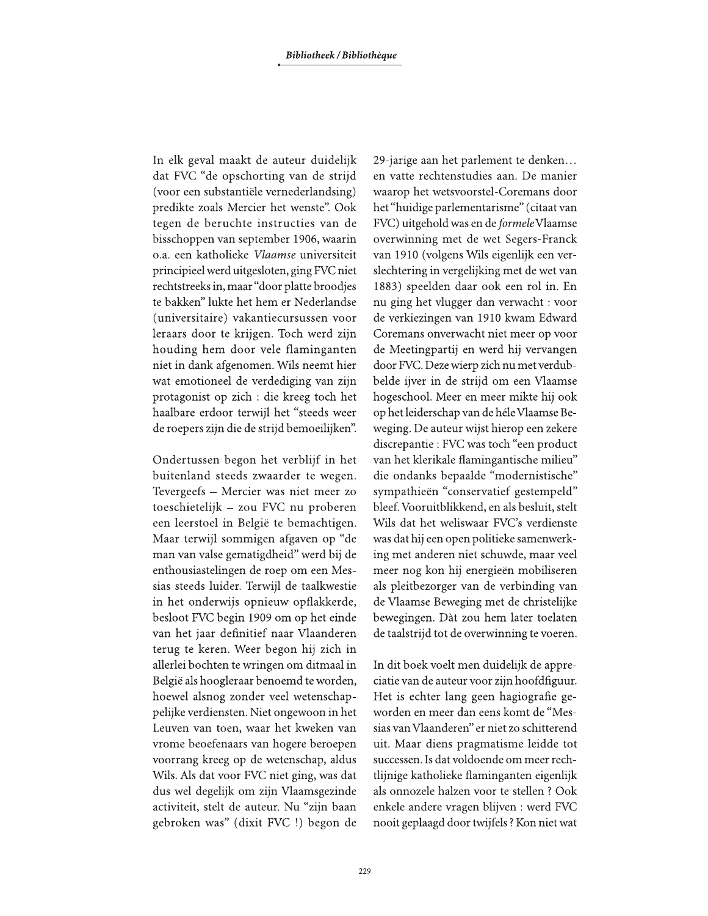In elk geval maakt de auteur duidelijk dat FVC "de opschorting van de strijd (voor een substantiële vernederlandsing) predikte zoals Mercier het wenste". Ook tegen de beruchte instructies van de bisschoppen van september 1906, waarin o.a. een katholieke Vlaamse universiteit principieel werd uitgesloten, ging FVC niet rechtstreeks in, maar "door platte broodjes te bakken" lukte het hem er Nederlandse (universitaire) vakantiecursussen voor leraars door te krijgen. Toch werd zijn houding hem door vele flaminganten niet in dank afgenomen. Wils neemt hier wat emotioneel de verdediging van zijn protagonist op zich : die kreeg toch het haalbare erdoor terwijl het "steeds weer de roepers zijn die de strijd bemoeilijken".

Ondertussen begon het verblijf in het buitenland steeds zwaarder te wegen. Tevergeefs - Mercier was niet meer zo toeschietelijk - zou FVC nu proberen een leerstoel in België te bemachtigen. Maar terwijl sommigen afgaven op "de man van valse gematigdheid" werd bij de enthousiastelingen de roep om een Messias steeds luider. Terwijl de taalkwestie in het onderwijs opnieuw opflakkerde, besloot FVC begin 1909 om op het einde van het jaar definitief naar Vlaanderen terug te keren. Weer begon hij zich in allerlei bochten te wringen om ditmaal in België als hoogleraar benoemd te worden, hoewel alsnog zonder veel wetenschappelijke verdiensten. Niet ongewoon in het Leuven van toen, waar het kweken van vrome beoefenaars van hogere beroepen voorrang kreeg op de wetenschap, aldus Wils. Als dat voor FVC niet ging, was dat dus wel degelijk om zijn Vlaamsgezinde activiteit, stelt de auteur. Nu "zijn baan gebroken was" (dixit FVC !) begon de 29-jarige aan het parlement te denken... en vatte rechtenstudies aan. De manier waarop het wetsvoorstel-Coremans door het "huidige parlementarisme" (citaat van FVC) uitgehold was en de formele Vlaamse overwinning met de wet Segers-Franck van 1910 (volgens Wils eigenlijk een verslechtering in vergelijking met de wet van 1883) speelden daar ook een rol in. En nu ging het vlugger dan verwacht: voor de verkiezingen van 1910 kwam Edward Coremans onverwacht niet meer op voor de Meetingpartij en werd hij vervangen door FVC. Deze wierp zich nu met verdubbelde ijver in de strijd om een Vlaamse hogeschool. Meer en meer mikte hij ook op het leiderschap van de héle Vlaamse Beweging. De auteur wijst hierop een zekere discrepantie : FVC was toch "een product van het klerikale flamingantische milieu" die ondanks bepaalde "modernistische" sympathieën "conservatief gestempeld" bleef. Vooruitblikkend, en als besluit, stelt Wils dat het weliswaar FVC's verdienste was dat hij een open politieke samenwerking met anderen niet schuwde, maar veel meer nog kon hij energieën mobiliseren als pleitbezorger van de verbinding van de Vlaamse Beweging met de christelijke bewegingen. Dàt zou hem later toelaten de taalstrijd tot de overwinning te voeren.

In dit boek voelt men duidelijk de appreciatie van de auteur voor zijn hoofdfiguur. Het is echter lang geen hagiografie geworden en meer dan eens komt de "Messias van Vlaanderen" er niet zo schitterend uit. Maar diens pragmatisme leidde tot successen. Is dat voldoende om meer rechtlijnige katholieke flaminganten eigenlijk als onnozele halzen voor te stellen ? Ook enkele andere vragen blijven : werd FVC nooit geplaagd door twijfels? Kon niet wat

229